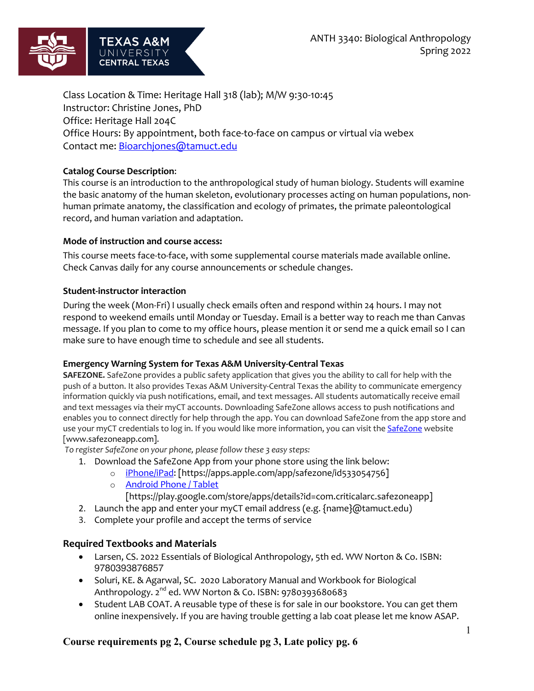

Class Location & Time: Heritage Hall 318 (lab); M/W 9:30-10:45 Instructor: Christine Jones, PhD Office: Heritage Hall 204C Office Hours: By appointment, both face-to-face on campus or virtual via webex Contact me: Bioarchjones@tamuct.edu

### **Catalog Course Description**:

This course is an introduction to the anthropological study of human biology. Students will examine the basic anatomy of the human skeleton, evolutionary processes acting on human populations, nonhuman primate anatomy, the classification and ecology of primates, the primate paleontological record, and human variation and adaptation.

#### **Mode of instruction and course access:**

This course meets face-to-face, with some supplemental course materials made available online. Check Canvas daily for any course announcements or schedule changes.

#### **Student-instructor interaction**

During the week (Mon-Fri) I usually check emails often and respond within 24 hours. I may not respond to weekend emails until Monday or Tuesday. Email is a better way to reach me than Canvas message. If you plan to come to my office hours, please mention it or send me a quick email so I can make sure to have enough time to schedule and see all students.

#### **Emergency Warning System for Texas A&M University-Central Texas**

**SAFEZONE.** SafeZone provides a public safety application that gives you the ability to call for help with the push of a button. It also provides Texas A&M University-Central Texas the ability to communicate emergency information quickly via push notifications, email, and text messages. All students automatically receive email and text messages via their myCT accounts. Downloading SafeZone allows access to push notifications and enables you to connect directly for help through the app. You can download SafeZone from the app store and use your myCT credentials to log in. If you would like more information, you can visit the SafeZone website [www.safezoneapp.com].

*To register SafeZone on your phone, please follow these 3 easy steps:*

- 1. Download the SafeZone App from your phone store using the link below:
	- o iPhone/iPad: [https://apps.apple.com/app/safezone/id533054756]
		- o Android Phone / Tablet
			- [https://play.google.com/store/apps/details?id=com.criticalarc.safezoneapp]
- 2. Launch the app and enter your myCT email address (e.g.  $\{\text{name}\}$ ) at amuct.edu)
- 3. Complete your profile and accept the terms of service

#### **Required Textbooks and Materials**

- Larsen, CS. 2022 Essentials of Biological Anthropology, 5th ed. WW Norton & Co. ISBN: 9780393876857
- Soluri, KE. & Agarwal, SC. 2020 Laboratory Manual and Workbook for Biological Anthropology. 2<sup>nd</sup> ed. WW Norton & Co. ISBN: 9780393680683
- Student LAB COAT. A reusable type of these is for sale in our bookstore. You can get them online inexpensively. If you are having trouble getting a lab coat please let me know ASAP.

# **Course requirements pg 2, Course schedule pg 3, Late policy pg. 6**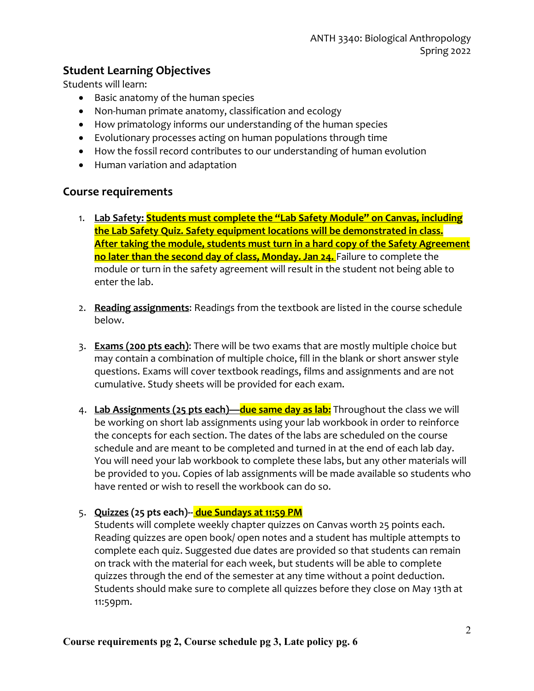# **Student Learning Objectives**

Students will learn:

- Basic anatomy of the human species
- Non-human primate anatomy, classification and ecology
- How primatology informs our understanding of the human species
- Evolutionary processes acting on human populations through time
- How the fossil record contributes to our understanding of human evolution
- Human variation and adaptation

# **Course requirements**

- 1. **Lab Safety: Students must complete the "Lab Safety Module" on Canvas, including the Lab Safety Quiz. Safety equipment locations will be demonstrated in class. After taking the module, students must turn in a hard copy of the Safety Agreement no later than the second day of class, Monday. Jan 24.** Failure to complete the module or turn in the safety agreement will result in the student not being able to enter the lab.
- 2. **Reading assignments**: Readings from the textbook are listed in the course schedule below.
- 3. **Exams (200 pts each)**: There will be two exams that are mostly multiple choice but may contain a combination of multiple choice, fill in the blank or short answer style questions. Exams will cover textbook readings, films and assignments and are not cumulative. Study sheets will be provided for each exam.
- 4. **Lab Assignments (25 pts each)—due same day as lab:** Throughout the class we will be working on short lab assignments using your lab workbook in order to reinforce the concepts for each section. The dates of the labs are scheduled on the course schedule and are meant to be completed and turned in at the end of each lab day. You will need your lab workbook to complete these labs, but any other materials will be provided to you. Copies of lab assignments will be made available so students who have rented or wish to resell the workbook can do so.

# 5. **Quizzes (25 pts each)-- due Sundays at 11:59 PM**

Students will complete weekly chapter quizzes on Canvas worth 25 points each. Reading quizzes are open book/ open notes and a student has multiple attempts to complete each quiz. Suggested due dates are provided so that students can remain on track with the material for each week, but students will be able to complete quizzes through the end of the semester at any time without a point deduction. Students should make sure to complete all quizzes before they close on May 13th at 11:59pm.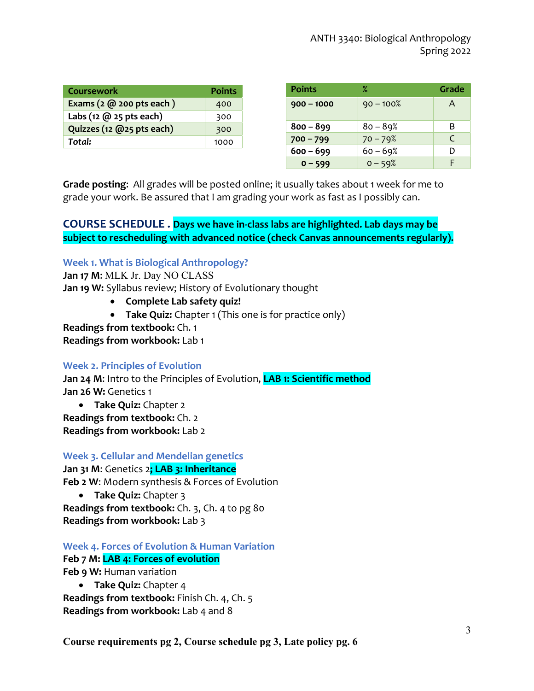| <b>Coursework</b>                           | <b>Points</b> |
|---------------------------------------------|---------------|
| Exams $(2 \text{ @ } 200 \text{ pts each})$ | 400           |
| Labs (12 $(0, 25$ pts each)                 | 300           |
| Quizzes (12 @25 pts each)                   | 300           |
| Total:                                      | 1000          |

| <b>Points</b> | ℀            | Grade |
|---------------|--------------|-------|
| $900 - 1000$  | $90 - 100\%$ | A     |
| $800 - 899$   | $80 - 89%$   | B     |
| $700 - 799$   | $70 - 79%$   | C     |
| $600 - 699$   | $60 - 69%$   | D     |
| $0 - 599$     | $0 - 59%$    |       |

**Grade posting**: All grades will be posted online; it usually takes about 1 week for me to grade your work. Be assured that I am grading your work as fast as I possibly can.

# **COURSE SCHEDULE . Days we have in-class labs are highlighted. Lab days may be subject to rescheduling with advanced notice (check Canvas announcements regularly).**

# **Week 1. What is Biological Anthropology?**

**Jan 17 M**: MLK Jr. Day NO CLASS **Jan 19 W:** Syllabus review; History of Evolutionary thought

- **Complete Lab safety quiz!**
- **Take Quiz:** Chapter 1 (This one is for practice only)

**Readings from textbook:** Ch. 1

**Readings from workbook:** Lab 1

# **Week 2. Principles of Evolution**

**Jan 24 M**: Intro to the Principles of Evolution, **LAB 1: Scientific method Jan 26 W:** Genetics 1

• **Take Quiz:** Chapter 2 **Readings from textbook:** Ch. 2 **Readings from workbook:** Lab 2

# **Week 3. Cellular and Mendelian genetics Jan 31 M**: Genetics 2**; LAB 3: Inheritance Feb 2 W**: Modern synthesis & Forces of Evolution

• **Take Quiz:** Chapter 3 **Readings from textbook:** Ch. 3, Ch. 4 to pg 80 **Readings from workbook:** Lab 3

# **Week 4. Forces of Evolution & Human Variation**

# **Feb 7 M: LAB 4: Forces of evolution**

**Feb 9 W:** Human variation

• **Take Quiz:** Chapter 4 **Readings from textbook:** Finish Ch. 4, Ch. 5 **Readings from workbook:** Lab 4 and 8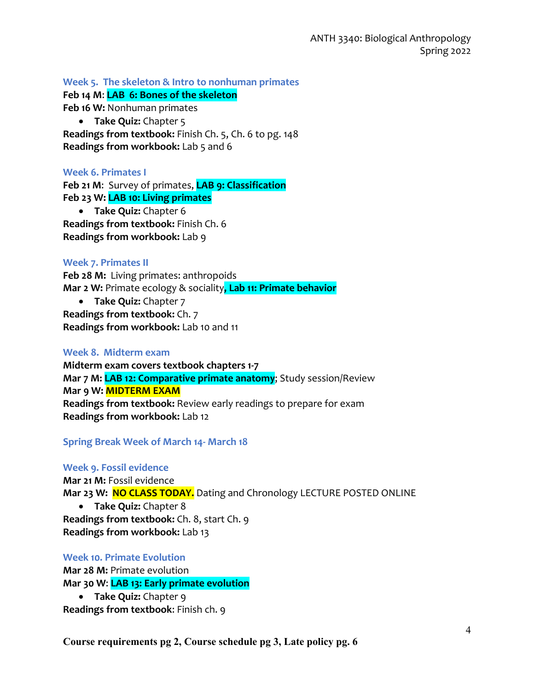**Week 5. The skeleton & Intro to nonhuman primates**

**Feb 14 M**: **LAB 6: Bones of the skeleton**

**Feb 16 W:** Nonhuman primates

• **Take Quiz:** Chapter 5

**Readings from textbook:** Finish Ch. 5, Ch. 6 to pg. 148 **Readings from workbook:** Lab 5 and 6

#### **Week 6. Primates I**

**Feb 21 M**: Survey of primates, **LAB 9: Classification Feb 23 W: LAB 10: Living primates** • **Take Quiz:** Chapter 6 **Readings from textbook:** Finish Ch. 6

**Readings from workbook:** Lab 9

#### **Week 7. Primates II**

**Feb 28 M:** Living primates: anthropoids **Mar 2 W:** Primate ecology & sociality**, Lab 11: Primate behavior**

• **Take Quiz:** Chapter 7 **Readings from textbook:** Ch. 7 **Readings from workbook:** Lab 10 and 11

# **Week 8. Midterm exam**

**Midterm exam covers textbook chapters 1-7 Mar 7 M: LAB 12: Comparative primate anatomy**; Study session/Review **Mar 9 W: MIDTERM EXAM Readings from textbook:** Review early readings to prepare for exam **Readings from workbook:** Lab 12

**Spring Break Week of March 14- March 18**

#### **Week 9. Fossil evidence**

**Mar 21 M:** Fossil evidence **Mar 23 W: NO CLASS TODAY.** Dating and Chronology LECTURE POSTED ONLINE • **Take Quiz:** Chapter 8 **Readings from textbook:** Ch. 8, start Ch. 9

**Readings from workbook:** Lab 13

#### **Week 10. Primate Evolution**

**Mar 28 M:** Primate evolution **Mar 30 W**: **LAB 13: Early primate evolution**

• **Take Quiz:** Chapter 9 **Readings from textbook**: Finish ch. 9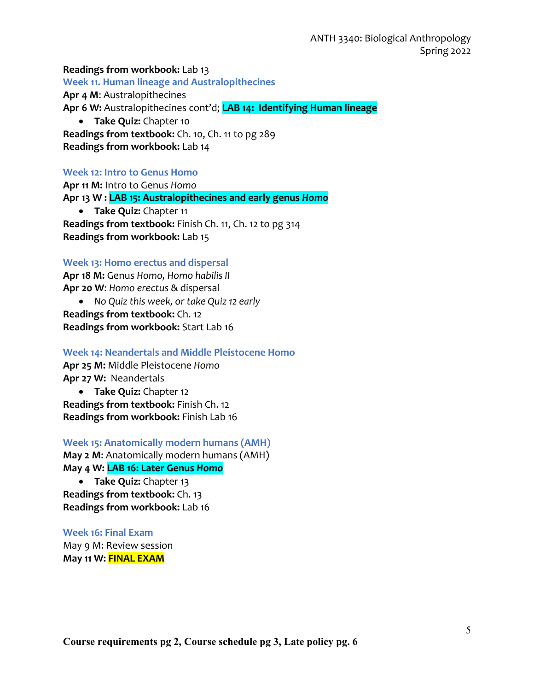**Readings from workbook:** Lab 13 **Week 11. Human lineage and Australopithecines Apr 4 M**: Australopithecines **Apr 6 W:** Australopithecines cont'd; **LAB 14: Identifying Human lineage** • **Take Quiz:** Chapter 10

**Readings from textbook:** Ch. 10, Ch. 11 to pg 289 **Readings from workbook:** Lab 14

#### **Week 12: Intro to Genus Homo**

**Apr 11 M:** Intro to Genus *Homo* **Apr 13 W : LAB 15: Australopithecines and early genus** *Homo* • **Take Quiz:** Chapter 11 **Readings from textbook:** Finish Ch. 11, Ch. 12 to pg 314 **Readings from workbook:** Lab 15

#### **Week 13: Homo erectus and dispersal**

**Apr 18 M:** Genus *Homo, Homo habilis II* **Apr 20 W**: *Homo erectus* & dispersal

• *No Quiz this week, or take Quiz 12 early* **Readings from textbook:** Ch. 12 **Readings from workbook:** Start Lab 16

**Week 14: Neandertals and Middle Pleistocene Homo Apr 25 M:** Middle Pleistocene *Homo* **Apr 27 W:** Neandertals • **Take Quiz:** Chapter 12

**Readings from textbook:** Finish Ch. 12 **Readings from workbook:** Finish Lab 16

**Week 15: Anatomically modern humans (AMH) May 2 M**: Anatomically modern humans (AMH) **May 4 W: LAB 16: Later Genus** *Homo*

• **Take Quiz:** Chapter 13 **Readings from textbook:** Ch. 13 **Readings from workbook:** Lab 16

**Week 16: Final Exam** May 9 M: Review session **May 11 W: FINAL EXAM**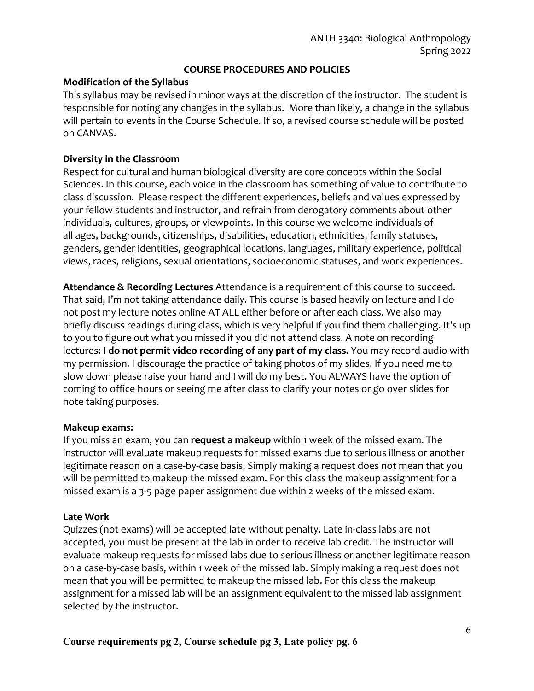# **COURSE PROCEDURES AND POLICIES**

#### **Modification of the Syllabus**

This syllabus may be revised in minor ways at the discretion of the instructor. The student is responsible for noting any changes in the syllabus. More than likely, a change in the syllabus will pertain to events in the Course Schedule. If so, a revised course schedule will be posted on CANVAS.

#### **Diversity in the Classroom**

Respect for cultural and human biological diversity are core concepts within the Social Sciences. In this course, each voice in the classroom has something of value to contribute to class discussion. Please respect the different experiences, beliefs and values expressed by your fellow students and instructor, and refrain from derogatory comments about other individuals, cultures, groups, or viewpoints. In this course we welcome individuals of all ages, backgrounds, citizenships, disabilities, education, ethnicities, family statuses, genders, gender identities, geographical locations, languages, military experience, political views, races, religions, sexual orientations, socioeconomic statuses, and work experiences.

**Attendance & Recording Lectures** Attendance is a requirement of this course to succeed. That said, I'm not taking attendance daily. This course is based heavily on lecture and I do not post my lecture notes online AT ALL either before or after each class. We also may briefly discuss readings during class, which is very helpful if you find them challenging. It's up to you to figure out what you missed if you did not attend class. A note on recording lectures: **I do not permit video recording of any part of my class.** You may record audio with my permission. I discourage the practice of taking photos of my slides. If you need me to slow down please raise your hand and I will do my best. You ALWAYS have the option of coming to office hours or seeing me after class to clarify your notes or go over slides for note taking purposes.

#### **Makeup exams:**

If you miss an exam, you can **request a makeup** within 1 week of the missed exam. The instructor will evaluate makeup requests for missed exams due to serious illness or another legitimate reason on a case-by-case basis. Simply making a request does not mean that you will be permitted to makeup the missed exam. For this class the makeup assignment for a missed exam is a 3-5 page paper assignment due within 2 weeks of the missed exam.

# **Late Work**

Quizzes (not exams) will be accepted late without penalty. Late in-class labs are not accepted, you must be present at the lab in order to receive lab credit. The instructor will evaluate makeup requests for missed labs due to serious illness or another legitimate reason on a case-by-case basis, within 1 week of the missed lab. Simply making a request does not mean that you will be permitted to makeup the missed lab. For this class the makeup assignment for a missed lab will be an assignment equivalent to the missed lab assignment selected by the instructor.